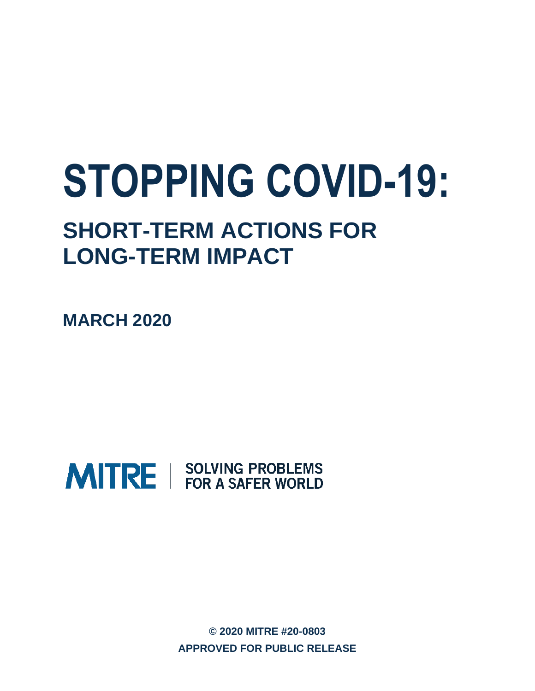# **STOPPING COVID-19:**

# **SHORT-TERM ACTIONS FOR LONG-TERM IMPACT**

**MARCH 2020**



**© 2020 MITRE #20-0803 APPROVED FOR PUBLIC RELEASE**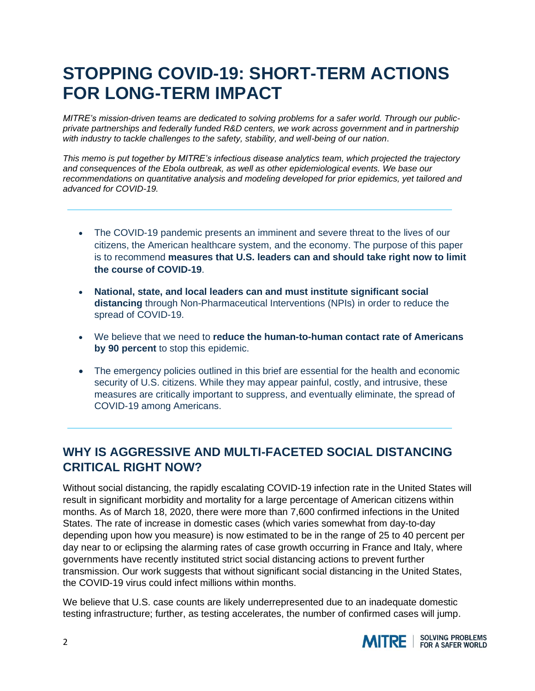# **STOPPING COVID-19: SHORT-TERM ACTIONS FOR LONG-TERM IMPACT**

*MITRE's mission-driven teams are dedicated to solving problems for a safer world. Through our publicprivate partnerships and federally funded R&D centers, we work across government and in partnership with industry to tackle challenges to the safety, stability, and well-being of our nation*.

*This memo is put together by MITRE's infectious disease analytics team, which projected the trajectory and consequences of the Ebola outbreak, as well as other epidemiological events. We base our recommendations on quantitative analysis and modeling developed for prior epidemics, yet tailored and advanced for COVID-19.* 

- The COVID-19 pandemic presents an imminent and severe threat to the lives of our citizens, the American healthcare system, and the economy. The purpose of this paper is to recommend **measures that U.S. leaders can and should take right now to limit the course of COVID-19**.
- **National, state, and local leaders can and must institute significant social distancing** through Non-Pharmaceutical Interventions (NPIs) in order to reduce the spread of COVID-19.
- We believe that we need to **reduce the human-to-human contact rate of Americans by 90 percent** to stop this epidemic.
- The emergency policies outlined in this brief are essential for the health and economic security of U.S. citizens. While they may appear painful, costly, and intrusive, these measures are critically important to suppress, and eventually eliminate, the spread of COVID-19 among Americans.

# **WHY IS AGGRESSIVE AND MULTI-FACETED SOCIAL DISTANCING CRITICAL RIGHT NOW?**

Without social distancing, the rapidly escalating COVID-19 infection rate in the United States will result in significant morbidity and mortality for a large percentage of American citizens within months. As of March 18, 2020, there were more than 7,600 confirmed infections in the United States. The rate of increase in domestic cases (which varies somewhat from day-to-day depending upon how you measure) is now estimated to be in the range of 25 to 40 percent per day near to or eclipsing the alarming rates of case growth occurring in France and Italy, where governments have recently instituted strict social distancing actions to prevent further transmission. Our work suggests that without significant social distancing in the United States, the COVID-19 virus could infect millions within months.

We believe that U.S. case counts are likely underrepresented due to an inadequate domestic testing infrastructure; further, as testing accelerates, the number of confirmed cases will jump.

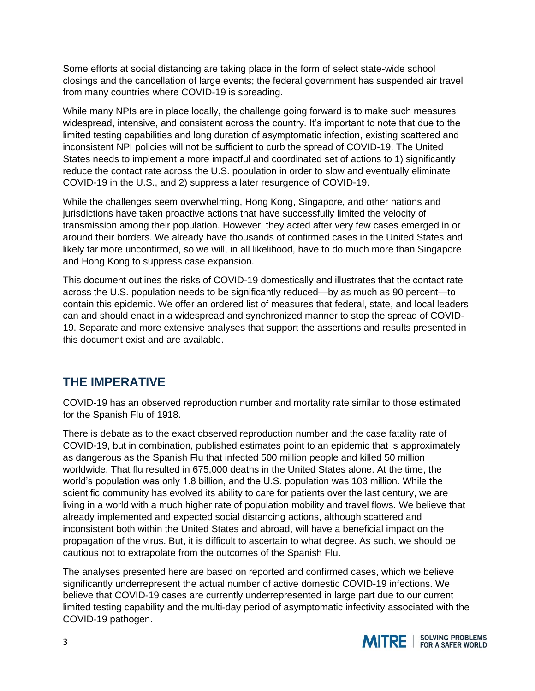Some efforts at social distancing are taking place in the form of select state-wide school closings and the cancellation of large events; the federal government has suspended air travel from many countries where COVID-19 is spreading.

While many NPIs are in place locally, the challenge going forward is to make such measures widespread, intensive, and consistent across the country. It's important to note that due to the limited testing capabilities and long duration of asymptomatic infection, existing scattered and inconsistent NPI policies will not be sufficient to curb the spread of COVID-19. The United States needs to implement a more impactful and coordinated set of actions to 1) significantly reduce the contact rate across the U.S. population in order to slow and eventually eliminate COVID-19 in the U.S., and 2) suppress a later resurgence of COVID-19.

While the challenges seem overwhelming, Hong Kong, Singapore, and other nations and jurisdictions have taken proactive actions that have successfully limited the velocity of transmission among their population. However, they acted after very few cases emerged in or around their borders. We already have thousands of confirmed cases in the United States and likely far more unconfirmed, so we will, in all likelihood, have to do much more than Singapore and Hong Kong to suppress case expansion.

This document outlines the risks of COVID-19 domestically and illustrates that the contact rate across the U.S. population needs to be significantly reduced—by as much as 90 percent—to contain this epidemic. We offer an ordered list of measures that federal, state, and local leaders can and should enact in a widespread and synchronized manner to stop the spread of COVID-19. Separate and more extensive analyses that support the assertions and results presented in this document exist and are available.

## **THE IMPERATIVE**

COVID-19 has an observed reproduction number and mortality rate similar to those estimated for the Spanish Flu of 1918.

There is debate as to the exact observed reproduction number and the case fatality rate of COVID-19, but in combination, published estimates point to an epidemic that is approximately as dangerous as the Spanish Flu that infected 500 million people and killed 50 million worldwide. That flu resulted in 675,000 deaths in the United States alone. At the time, the world's population was only 1.8 billion, and the U.S. population was 103 million. While the scientific community has evolved its ability to care for patients over the last century, we are living in a world with a much higher rate of population mobility and travel flows. We believe that already implemented and expected social distancing actions, although scattered and inconsistent both within the United States and abroad, will have a beneficial impact on the propagation of the virus. But, it is difficult to ascertain to what degree. As such, we should be cautious not to extrapolate from the outcomes of the Spanish Flu.

The analyses presented here are based on reported and confirmed cases, which we believe significantly underrepresent the actual number of active domestic COVID-19 infections. We believe that COVID-19 cases are currently underrepresented in large part due to our current limited testing capability and the multi-day period of asymptomatic infectivity associated with the COVID-19 pathogen.

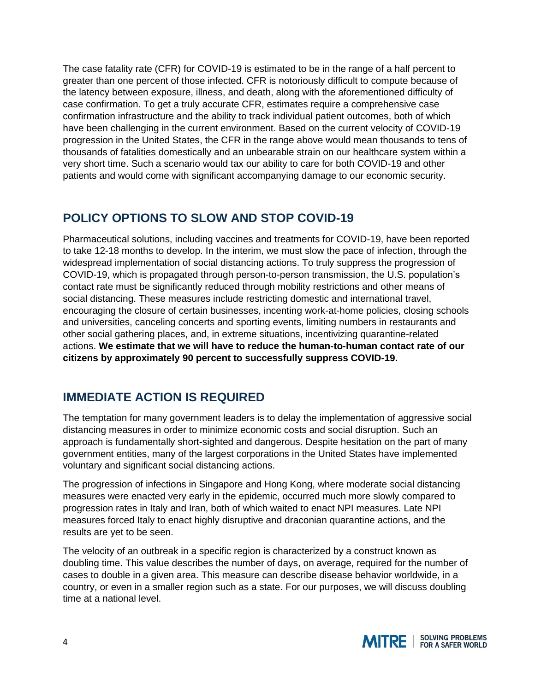The case fatality rate (CFR) for COVID-19 is estimated to be in the range of a half percent to greater than one percent of those infected. CFR is notoriously difficult to compute because of the latency between exposure, illness, and death, along with the aforementioned difficulty of case confirmation. To get a truly accurate CFR, estimates require a comprehensive case confirmation infrastructure and the ability to track individual patient outcomes, both of which have been challenging in the current environment. Based on the current velocity of COVID-19 progression in the United States, the CFR in the range above would mean thousands to tens of thousands of fatalities domestically and an unbearable strain on our healthcare system within a very short time. Such a scenario would tax our ability to care for both COVID-19 and other patients and would come with significant accompanying damage to our economic security.

# **POLICY OPTIONS TO SLOW AND STOP COVID-19**

Pharmaceutical solutions, including vaccines and treatments for COVID-19, have been reported to take 12-18 months to develop. In the interim, we must slow the pace of infection, through the widespread implementation of social distancing actions. To truly suppress the progression of COVID-19, which is propagated through person-to-person transmission, the U.S. population's contact rate must be significantly reduced through mobility restrictions and other means of social distancing. These measures include restricting domestic and international travel, encouraging the closure of certain businesses, incenting work-at-home policies, closing schools and universities, canceling concerts and sporting events, limiting numbers in restaurants and other social gathering places, and, in extreme situations, incentivizing quarantine-related actions. **We estimate that we will have to reduce the human-to-human contact rate of our citizens by approximately 90 percent to successfully suppress COVID-19.**

# **IMMEDIATE ACTION IS REQUIRED**

The temptation for many government leaders is to delay the implementation of aggressive social distancing measures in order to minimize economic costs and social disruption. Such an approach is fundamentally short-sighted and dangerous. Despite hesitation on the part of many government entities, many of the largest corporations in the United States have implemented voluntary and significant social distancing actions.

The progression of infections in Singapore and Hong Kong, where moderate social distancing measures were enacted very early in the epidemic, occurred much more slowly compared to progression rates in Italy and Iran, both of which waited to enact NPI measures. Late NPI measures forced Italy to enact highly disruptive and draconian quarantine actions, and the results are yet to be seen.

The velocity of an outbreak in a specific region is characterized by a construct known as doubling time. This value describes the number of days, on average, required for the number of cases to double in a given area. This measure can describe disease behavior worldwide, in a country, or even in a smaller region such as a state. For our purposes, we will discuss doubling time at a national level.

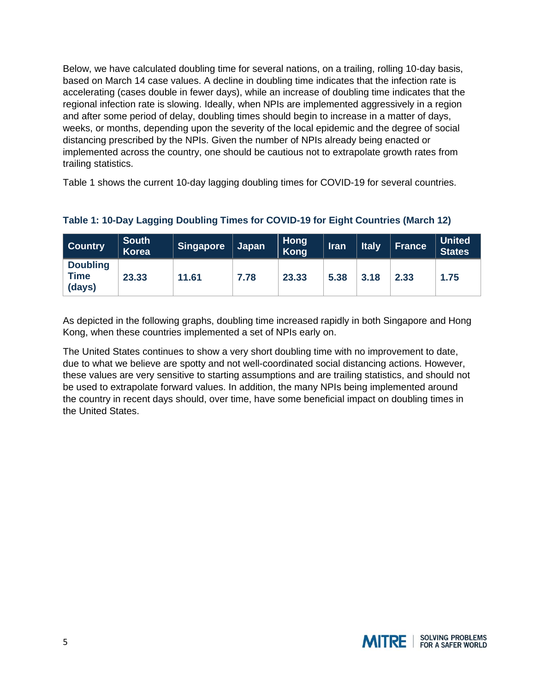Below, we have calculated doubling time for several nations, on a trailing, rolling 10-day basis, based on March 14 case values. A decline in doubling time indicates that the infection rate is accelerating (cases double in fewer days), while an increase of doubling time indicates that the regional infection rate is slowing. Ideally, when NPIs are implemented aggressively in a region and after some period of delay, doubling times should begin to increase in a matter of days, weeks, or months, depending upon the severity of the local epidemic and the degree of social distancing prescribed by the NPIs. Given the number of NPIs already being enacted or implemented across the country, one should be cautious not to extrapolate growth rates from trailing statistics.

Table 1 shows the current 10-day lagging doubling times for COVID-19 for several countries.

| Country                                  | <b>South</b><br><b>Korea</b> | Singapore | ∣ Japan | <b>Hong</b><br>Kong | <b>Iran</b> | <b>Italy</b> | <b>France</b> | <b>United</b><br><b>States</b> |
|------------------------------------------|------------------------------|-----------|---------|---------------------|-------------|--------------|---------------|--------------------------------|
| <b>Doubling</b><br><b>Time</b><br>(days) | 23.33                        | 11.61     | 7.78    | 23.33               | 5.38        | 3.18         | 2.33          | 1.75                           |

#### **Table 1: 10-Day Lagging Doubling Times for COVID-19 for Eight Countries (March 12)**

As depicted in the following graphs, doubling time increased rapidly in both Singapore and Hong Kong, when these countries implemented a set of NPIs early on.

The United States continues to show a very short doubling time with no improvement to date, due to what we believe are spotty and not well-coordinated social distancing actions. However, these values are very sensitive to starting assumptions and are trailing statistics, and should not be used to extrapolate forward values. In addition, the many NPIs being implemented around the country in recent days should, over time, have some beneficial impact on doubling times in the United States.

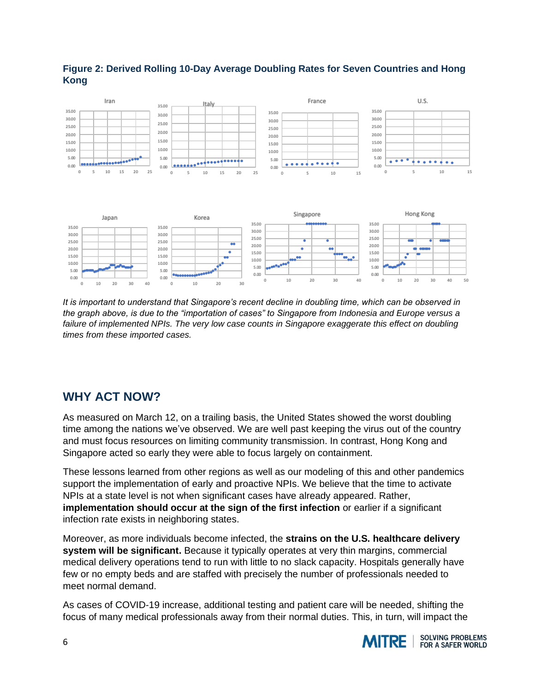

#### **Figure 2: Derived Rolling 10-Day Average Doubling Rates for Seven Countries and Hong Kong**

*It is important to understand that Singapore's recent decline in doubling time, which can be observed in the graph above, is due to the "importation of cases" to Singapore from Indonesia and Europe versus a failure of implemented NPIs. The very low case counts in Singapore exaggerate this effect on doubling times from these imported cases.*

# **WHY ACT NOW?**

 $10$  $20$  40

 $10$ 

 $\overline{20}$ 

30

As measured on March 12, on a trailing basis, the United States showed the worst doubling time among the nations we've observed. We are well past keeping the virus out of the country and must focus resources on limiting community transmission. In contrast, Hong Kong and Singapore acted so early they were able to focus largely on containment.

These lessons learned from other regions as well as our modeling of this and other pandemics support the implementation of early and proactive NPIs. We believe that the time to activate NPIs at a state level is not when significant cases have already appeared. Rather, **implementation should occur at the sign of the first infection** or earlier if a significant infection rate exists in neighboring states.

Moreover, as more individuals become infected, the **strains on the U.S. healthcare delivery system will be significant.** Because it typically operates at very thin margins, commercial medical delivery operations tend to run with little to no slack capacity. Hospitals generally have few or no empty beds and are staffed with precisely the number of professionals needed to meet normal demand.

As cases of COVID-19 increase, additional testing and patient care will be needed, shifting the focus of many medical professionals away from their normal duties. This, in turn, will impact the

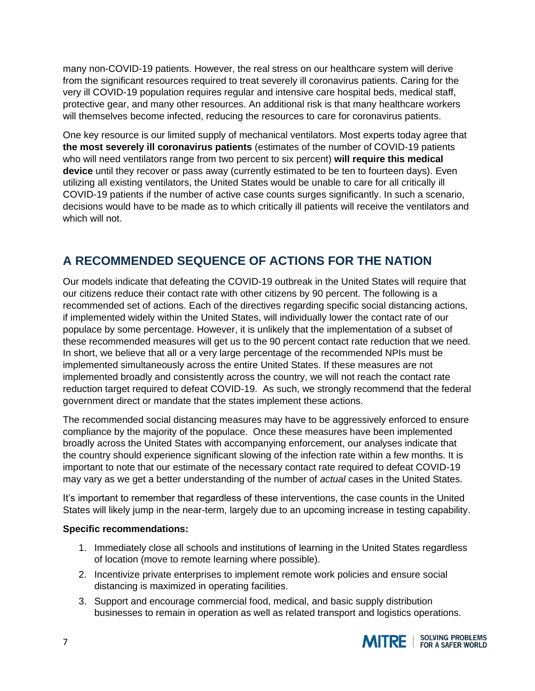many non-COVID-19 patients. However, the real stress on our healthcare system will derive from the significant resources required to treat severely ill coronavirus patients. Caring for the very ill COVID-19 population requires regular and intensive care hospital beds, medical staff, protective gear, and many other resources. An additional risk is that many healthcare workers will themselves become infected, reducing the resources to care for coronavirus patients.

One key resource is our limited supply of mechanical ventilators. Most experts today agree that **the most severely ill coronavirus patients** (estimates of the number of COVID-19 patients who will need ventilators range from two percent to six percent) **will require this medical device** until they recover or pass away (currently estimated to be ten to fourteen days). Even utilizing all existing ventilators, the United States would be unable to care for all critically ill COVID-19 patients if the number of active case counts surges significantly. In such a scenario, decisions would have to be made as to which critically ill patients will receive the ventilators and which will not.

# **A RECOMMENDED SEQUENCE OF ACTIONS FOR THE NATION**

Our models indicate that defeating the COVID-19 outbreak in the United States will require that our citizens reduce their contact rate with other citizens by 90 percent. The following is a recommended set of actions. Each of the directives regarding specific social distancing actions, if implemented widely within the United States, will individually lower the contact rate of our populace by some percentage. However, it is unlikely that the implementation of a subset of these recommended measures will get us to the 90 percent contact rate reduction that we need. In short, we believe that all or a very large percentage of the recommended NPIs must be implemented simultaneously across the entire United States. If these measures are not implemented broadly and consistently across the country, we will not reach the contact rate reduction target required to defeat COVID-19. As such, we strongly recommend that the federal government direct or mandate that the states implement these actions.

The recommended social distancing measures may have to be aggressively enforced to ensure compliance by the majority of the populace. Once these measures have been implemented broadly across the United States with accompanying enforcement, our analyses indicate that the country should experience significant slowing of the infection rate within a few months. It is important to note that our estimate of the necessary contact rate required to defeat COVID-19 may vary as we get a better understanding of the number of *actual* cases in the United States.

It's important to remember that regardless of these interventions, the case counts in the United States will likely jump in the near-term, largely due to an upcoming increase in testing capability.

#### **Specific recommendations:**

- 1. Immediately close all schools and institutions of learning in the United States regardless of location (move to remote learning where possible).
- 2. Incentivize private enterprises to implement remote work policies and ensure social distancing is maximized in operating facilities.
- 3. Support and encourage commercial food, medical, and basic supply distribution businesses to remain in operation as well as related transport and logistics operations.

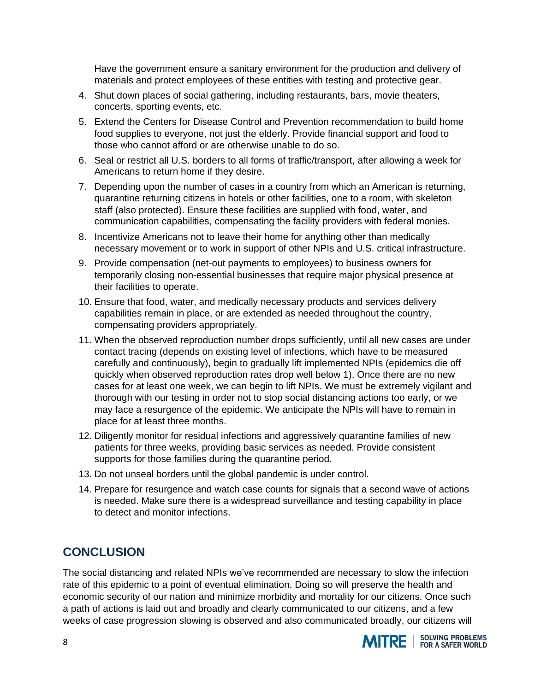Have the government ensure a sanitary environment for the production and delivery of materials and protect employees of these entities with testing and protective gear.

- 4. Shut down places of social gathering, including restaurants, bars, movie theaters, concerts, sporting events, etc.
- 5. Extend the Centers for Disease Control and Prevention recommendation to build home food supplies to everyone, not just the elderly. Provide financial support and food to those who cannot afford or are otherwise unable to do so.
- 6. Seal or restrict all U.S. borders to all forms of traffic/transport, after allowing a week for Americans to return home if they desire.
- 7. Depending upon the number of cases in a country from which an American is returning, quarantine returning citizens in hotels or other facilities, one to a room, with skeleton staff (also protected). Ensure these facilities are supplied with food, water, and communication capabilities, compensating the facility providers with federal monies.
- 8. Incentivize Americans not to leave their home for anything other than medically necessary movement or to work in support of other NPIs and U.S. critical infrastructure.
- 9. Provide compensation (net-out payments to employees) to business owners for temporarily closing non-essential businesses that require major physical presence at their facilities to operate.
- 10. Ensure that food, water, and medically necessary products and services delivery capabilities remain in place, or are extended as needed throughout the country, compensating providers appropriately.
- 11. When the observed reproduction number drops sufficiently, until all new cases are under contact tracing (depends on existing level of infections, which have to be measured carefully and continuously), begin to gradually lift implemented NPIs (epidemics die off quickly when observed reproduction rates drop well below 1). Once there are no new cases for at least one week, we can begin to lift NPIs. We must be extremely vigilant and thorough with our testing in order not to stop social distancing actions too early, or we may face a resurgence of the epidemic. We anticipate the NPIs will have to remain in place for at least three months.
- 12. Diligently monitor for residual infections and aggressively quarantine families of new patients for three weeks, providing basic services as needed. Provide consistent supports for those families during the quarantine period.
- 13. Do not unseal borders until the global pandemic is under control.
- 14. Prepare for resurgence and watch case counts for signals that a second wave of actions is needed. Make sure there is a widespread surveillance and testing capability in place to detect and monitor infections.

## **CONCLUSION**

The social distancing and related NPIs we've recommended are necessary to slow the infection rate of this epidemic to a point of eventual elimination. Doing so will preserve the health and economic security of our nation and minimize morbidity and mortality for our citizens. Once such a path of actions is laid out and broadly and clearly communicated to our citizens, and a few weeks of case progression slowing is observed and also communicated broadly, our citizens will